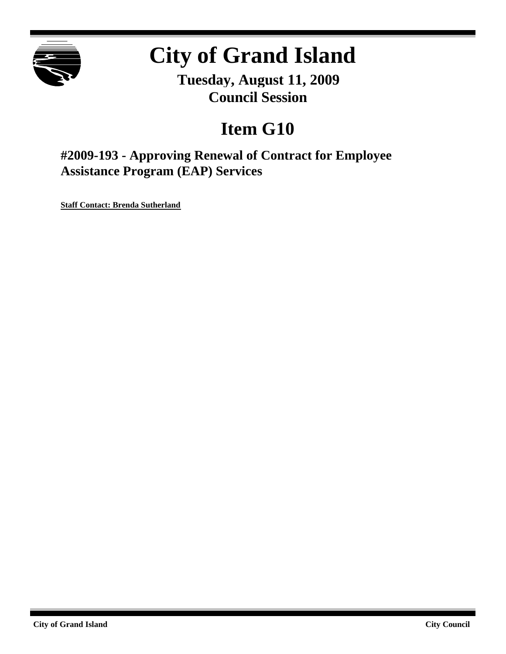

# **City of Grand Island**

**Tuesday, August 11, 2009 Council Session**

## **Item G10**

**#2009-193 - Approving Renewal of Contract for Employee Assistance Program (EAP) Services**

**Staff Contact: Brenda Sutherland**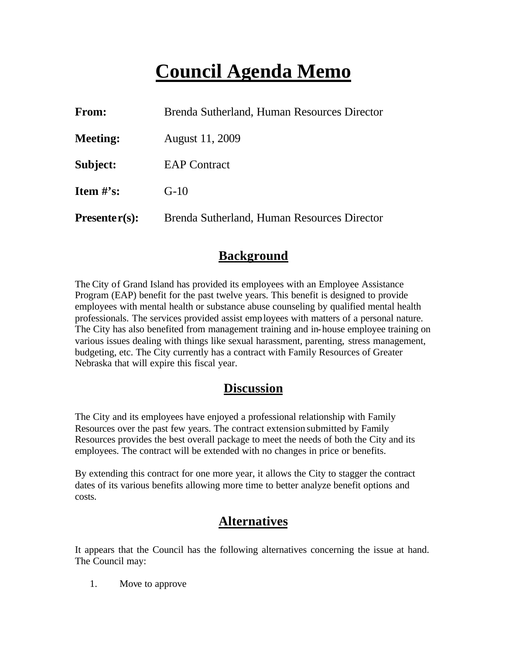## **Council Agenda Memo**

| From:           | Brenda Sutherland, Human Resources Director |  |  |
|-----------------|---------------------------------------------|--|--|
| <b>Meeting:</b> | August 11, 2009                             |  |  |
| Subject:        | <b>EAP Contract</b>                         |  |  |
| Item $\#$ 's:   | $G-10$                                      |  |  |
| $Presenter(s):$ | Brenda Sutherland, Human Resources Director |  |  |

#### **Background**

The City of Grand Island has provided its employees with an Employee Assistance Program (EAP) benefit for the past twelve years. This benefit is designed to provide employees with mental health or substance abuse counseling by qualified mental health professionals. The services provided assist employees with matters of a personal nature. The City has also benefited from management training and in-house employee training on various issues dealing with things like sexual harassment, parenting, stress management, budgeting, etc. The City currently has a contract with Family Resources of Greater Nebraska that will expire this fiscal year.

#### **Discussion**

The City and its employees have enjoyed a professional relationship with Family Resources over the past few years. The contract extension submitted by Family Resources provides the best overall package to meet the needs of both the City and its employees. The contract will be extended with no changes in price or benefits.

By extending this contract for one more year, it allows the City to stagger the contract dates of its various benefits allowing more time to better analyze benefit options and costs.

#### **Alternatives**

It appears that the Council has the following alternatives concerning the issue at hand. The Council may:

1. Move to approve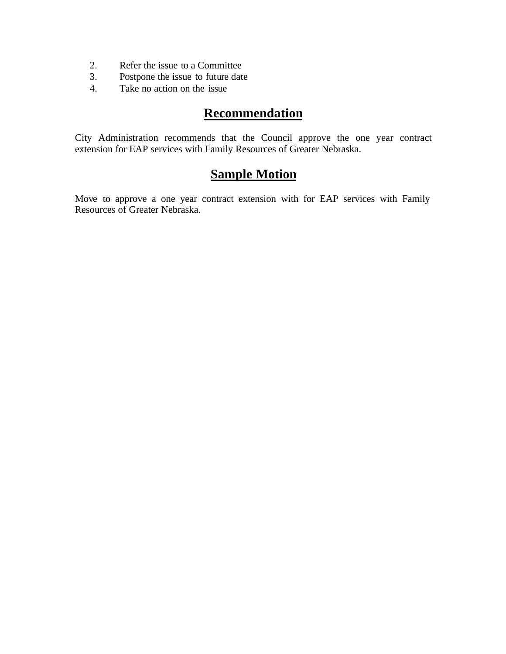- 2. Refer the issue to a Committee
- 3. Postpone the issue to future date
- 4. Take no action on the issue

### **Recommendation**

City Administration recommends that the Council approve the one year contract extension for EAP services with Family Resources of Greater Nebraska.

### **Sample Motion**

Move to approve a one year contract extension with for EAP services with Family Resources of Greater Nebraska.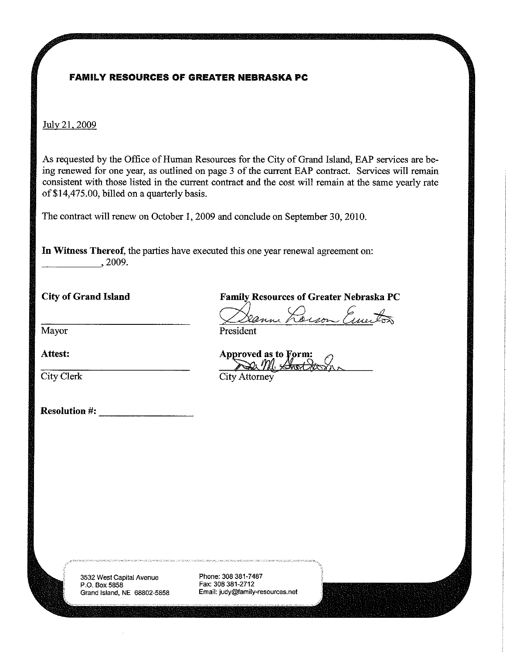#### **FAMILY RESOURCES OF GREATER NEBRASKA PC**

July 21, 2009

As requested by the Office of Human Resources for the City of Grand Island, EAP services are being renewed for one year, as outlined on page 3 of the current EAP contract. Services will remain consistent with those listed in the current contract and the cost will remain at the same yearly rate of \$14,475.00, billed on a quarterly basis.

The contract will renew on October 1, 2009 and conclude on September 30, 2010.

In Witness Thereof, the parties have executed this one year renewal agreement on:  $, 2009.$ 

**City of Grand Island** 

Mayor

Attest:

City Clerk

**Resolution #:** 

**Family Resources of Greater Nebraska PC** 

Deceson Emeritors

President

Approved as to Form: Der M. Short St

City Attorney

3532 West Capital Avenue P.O. Box 5858 Grand Island, NE 68802-5858 Phone: 308 381-7487 Fax: 308 381-2712 Email: judy@family-resources.net

.<br>In 1970, the Williams and the Company and Company